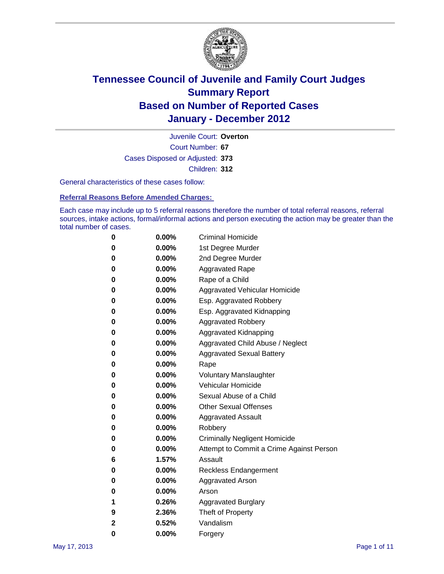

Court Number: **67** Juvenile Court: **Overton** Cases Disposed or Adjusted: **373** Children: **312**

General characteristics of these cases follow:

**Referral Reasons Before Amended Charges:** 

Each case may include up to 5 referral reasons therefore the number of total referral reasons, referral sources, intake actions, formal/informal actions and person executing the action may be greater than the total number of cases.

| 0 | $0.00\%$ | <b>Criminal Homicide</b>                 |
|---|----------|------------------------------------------|
| 0 | $0.00\%$ | 1st Degree Murder                        |
| 0 | $0.00\%$ | 2nd Degree Murder                        |
| 0 | $0.00\%$ | <b>Aggravated Rape</b>                   |
| 0 | $0.00\%$ | Rape of a Child                          |
| 0 | $0.00\%$ | Aggravated Vehicular Homicide            |
| 0 | $0.00\%$ | Esp. Aggravated Robbery                  |
| 0 | $0.00\%$ | Esp. Aggravated Kidnapping               |
| 0 | $0.00\%$ | <b>Aggravated Robbery</b>                |
| 0 | $0.00\%$ | Aggravated Kidnapping                    |
| 0 | $0.00\%$ | Aggravated Child Abuse / Neglect         |
| 0 | $0.00\%$ | <b>Aggravated Sexual Battery</b>         |
| 0 | 0.00%    | Rape                                     |
| 0 | $0.00\%$ | <b>Voluntary Manslaughter</b>            |
| 0 | $0.00\%$ | Vehicular Homicide                       |
| 0 | $0.00\%$ | Sexual Abuse of a Child                  |
| 0 | $0.00\%$ | <b>Other Sexual Offenses</b>             |
| 0 | $0.00\%$ | <b>Aggravated Assault</b>                |
| 0 | $0.00\%$ | Robbery                                  |
| 0 | $0.00\%$ | <b>Criminally Negligent Homicide</b>     |
| 0 | $0.00\%$ | Attempt to Commit a Crime Against Person |
| 6 | 1.57%    | Assault                                  |
| 0 | $0.00\%$ | <b>Reckless Endangerment</b>             |
| 0 | 0.00%    | <b>Aggravated Arson</b>                  |
| 0 | $0.00\%$ | Arson                                    |
| 1 | 0.26%    | <b>Aggravated Burglary</b>               |
| 9 | 2.36%    | Theft of Property                        |
| 2 | 0.52%    | Vandalism                                |
| 0 | 0.00%    | Forgery                                  |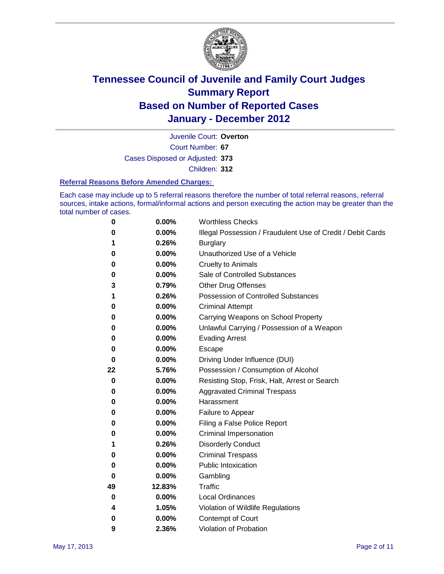

Court Number: **67** Juvenile Court: **Overton** Cases Disposed or Adjusted: **373**

Children: **312**

#### **Referral Reasons Before Amended Charges:**

Each case may include up to 5 referral reasons therefore the number of total referral reasons, referral sources, intake actions, formal/informal actions and person executing the action may be greater than the total number of cases.

| 0  | 0.00%    | <b>Worthless Checks</b>                                     |
|----|----------|-------------------------------------------------------------|
| 0  | 0.00%    | Illegal Possession / Fraudulent Use of Credit / Debit Cards |
| 1  | 0.26%    | <b>Burglary</b>                                             |
| 0  | 0.00%    | Unauthorized Use of a Vehicle                               |
| 0  | 0.00%    | <b>Cruelty to Animals</b>                                   |
| 0  | 0.00%    | Sale of Controlled Substances                               |
| 3  | 0.79%    | <b>Other Drug Offenses</b>                                  |
| 1  | 0.26%    | <b>Possession of Controlled Substances</b>                  |
| 0  | 0.00%    | <b>Criminal Attempt</b>                                     |
| 0  | 0.00%    | Carrying Weapons on School Property                         |
| 0  | 0.00%    | Unlawful Carrying / Possession of a Weapon                  |
| 0  | 0.00%    | <b>Evading Arrest</b>                                       |
| 0  | 0.00%    | Escape                                                      |
| 0  | 0.00%    | Driving Under Influence (DUI)                               |
| 22 | 5.76%    | Possession / Consumption of Alcohol                         |
| 0  | 0.00%    | Resisting Stop, Frisk, Halt, Arrest or Search               |
| 0  | 0.00%    | <b>Aggravated Criminal Trespass</b>                         |
| 0  | 0.00%    | Harassment                                                  |
| 0  | 0.00%    | Failure to Appear                                           |
| 0  | 0.00%    | Filing a False Police Report                                |
| 0  | 0.00%    | Criminal Impersonation                                      |
| 1  | 0.26%    | <b>Disorderly Conduct</b>                                   |
| 0  | 0.00%    | <b>Criminal Trespass</b>                                    |
| 0  | 0.00%    | <b>Public Intoxication</b>                                  |
| 0  | 0.00%    | Gambling                                                    |
| 49 | 12.83%   | <b>Traffic</b>                                              |
| 0  | 0.00%    | <b>Local Ordinances</b>                                     |
| 4  | 1.05%    | Violation of Wildlife Regulations                           |
| 0  | $0.00\%$ | Contempt of Court                                           |
| 9  | 2.36%    | Violation of Probation                                      |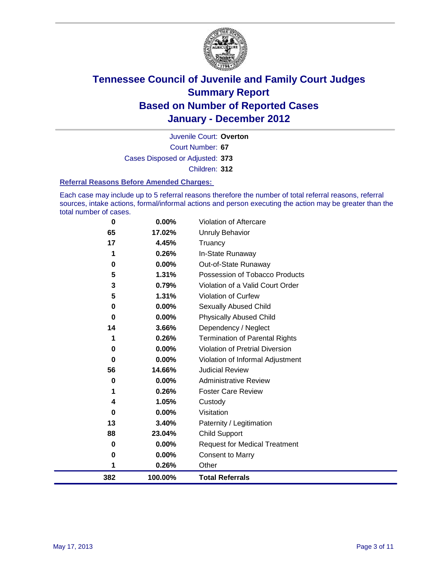

Court Number: **67** Juvenile Court: **Overton** Cases Disposed or Adjusted: **373** Children: **312**

#### **Referral Reasons Before Amended Charges:**

Each case may include up to 5 referral reasons therefore the number of total referral reasons, referral sources, intake actions, formal/informal actions and person executing the action may be greater than the total number of cases.

| 0        | 0.00%    | Violation of Aftercare                 |
|----------|----------|----------------------------------------|
| 65       | 17.02%   | <b>Unruly Behavior</b>                 |
| 17       | 4.45%    | Truancy                                |
| 1        | 0.26%    | In-State Runaway                       |
| 0        | 0.00%    | Out-of-State Runaway                   |
| 5        | 1.31%    | Possession of Tobacco Products         |
| 3        | 0.79%    | Violation of a Valid Court Order       |
| 5        | 1.31%    | Violation of Curfew                    |
| 0        | 0.00%    | Sexually Abused Child                  |
| 0        | 0.00%    | <b>Physically Abused Child</b>         |
| 14       | 3.66%    | Dependency / Neglect                   |
| 1        | 0.26%    | <b>Termination of Parental Rights</b>  |
| $\bf{0}$ | $0.00\%$ | <b>Violation of Pretrial Diversion</b> |
| 0        | 0.00%    | Violation of Informal Adjustment       |
| 56       | 14.66%   | <b>Judicial Review</b>                 |
| 0        | 0.00%    | <b>Administrative Review</b>           |
| 1        | 0.26%    | <b>Foster Care Review</b>              |
| 4        | 1.05%    | Custody                                |
| $\bf{0}$ | 0.00%    | Visitation                             |
| 13       | 3.40%    | Paternity / Legitimation               |
| 88       | 23.04%   | <b>Child Support</b>                   |
| 0        | 0.00%    | <b>Request for Medical Treatment</b>   |
| 0        | 0.00%    | <b>Consent to Marry</b>                |
| 1        | 0.26%    | Other                                  |
| 382      | 100.00%  | <b>Total Referrals</b>                 |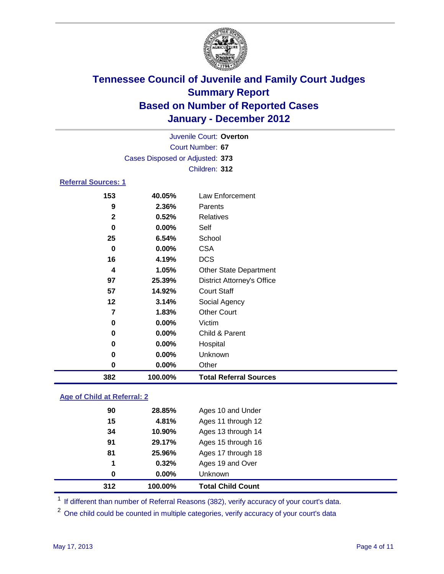

| Juvenile Court: Overton    |                                 |                                   |  |  |  |
|----------------------------|---------------------------------|-----------------------------------|--|--|--|
| Court Number: 67           |                                 |                                   |  |  |  |
|                            | Cases Disposed or Adjusted: 373 |                                   |  |  |  |
| Children: 312              |                                 |                                   |  |  |  |
| <b>Referral Sources: 1</b> |                                 |                                   |  |  |  |
| 153                        | 40.05%                          | Law Enforcement                   |  |  |  |
| 9                          | 2.36%                           | Parents                           |  |  |  |
| $\mathbf{2}$               | 0.52%                           | <b>Relatives</b>                  |  |  |  |
| 0                          | 0.00%                           | Self                              |  |  |  |
| 25                         | 6.54%                           | School                            |  |  |  |
| 0                          | 0.00%                           | <b>CSA</b>                        |  |  |  |
| 16                         | 4.19%                           | <b>DCS</b>                        |  |  |  |
| 4                          | 1.05%                           | <b>Other State Department</b>     |  |  |  |
| 97                         | 25.39%                          | <b>District Attorney's Office</b> |  |  |  |
| 57                         | 14.92%                          | <b>Court Staff</b>                |  |  |  |
| 12                         | 3.14%                           | Social Agency                     |  |  |  |
| $\overline{7}$             | 1.83%                           | <b>Other Court</b>                |  |  |  |
| 0                          | 0.00%                           | Victim                            |  |  |  |
| 0                          | 0.00%                           | Child & Parent                    |  |  |  |
| 0                          | 0.00%                           | Hospital                          |  |  |  |
| 0                          | 0.00%                           | Unknown                           |  |  |  |
| $\bf{0}$                   | 0.00%                           | Other                             |  |  |  |
| 382                        | 100.00%                         | <b>Total Referral Sources</b>     |  |  |  |

### **Age of Child at Referral: 2**

| $0.00\%$ | <b>Unknown</b>     |
|----------|--------------------|
|          |                    |
| 0.32%    | Ages 19 and Over   |
| 25.96%   | Ages 17 through 18 |
| 29.17%   | Ages 15 through 16 |
| 10.90%   | Ages 13 through 14 |
| 4.81%    | Ages 11 through 12 |
| 28.85%   | Ages 10 and Under  |
|          |                    |

<sup>1</sup> If different than number of Referral Reasons (382), verify accuracy of your court's data.

<sup>2</sup> One child could be counted in multiple categories, verify accuracy of your court's data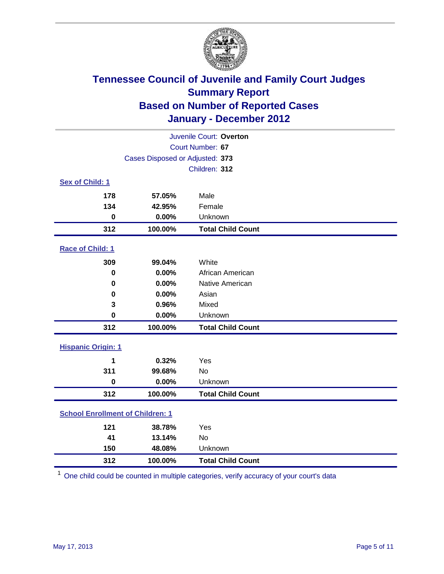

| Juvenile Court: Overton                 |                                 |                          |  |  |
|-----------------------------------------|---------------------------------|--------------------------|--|--|
| Court Number: 67                        |                                 |                          |  |  |
|                                         | Cases Disposed or Adjusted: 373 |                          |  |  |
|                                         |                                 | Children: 312            |  |  |
| Sex of Child: 1                         |                                 |                          |  |  |
| 178                                     | 57.05%                          | Male                     |  |  |
| 134                                     | 42.95%                          | Female                   |  |  |
| $\mathbf 0$                             | 0.00%                           | Unknown                  |  |  |
| 312                                     | 100.00%                         | <b>Total Child Count</b> |  |  |
| Race of Child: 1                        |                                 |                          |  |  |
| 309                                     | 99.04%                          | White                    |  |  |
| 0                                       | 0.00%                           | African American         |  |  |
| 0                                       | 0.00%                           | Native American          |  |  |
| $\mathbf 0$                             | 0.00%                           | Asian                    |  |  |
| 3                                       | 0.96%                           | Mixed                    |  |  |
| 0                                       | 0.00%                           | Unknown                  |  |  |
| 312                                     | 100.00%                         | <b>Total Child Count</b> |  |  |
| <b>Hispanic Origin: 1</b>               |                                 |                          |  |  |
| 1                                       | 0.32%                           | Yes                      |  |  |
| 311                                     | 99.68%                          | No                       |  |  |
| $\mathbf 0$                             | 0.00%                           | Unknown                  |  |  |
| 312                                     | 100.00%                         | <b>Total Child Count</b> |  |  |
| <b>School Enrollment of Children: 1</b> |                                 |                          |  |  |
| 121                                     | 38.78%                          | Yes                      |  |  |
| 41                                      | 13.14%                          | No                       |  |  |
| 150                                     | 48.08%                          | Unknown                  |  |  |
| 312                                     | 100.00%                         | <b>Total Child Count</b> |  |  |

One child could be counted in multiple categories, verify accuracy of your court's data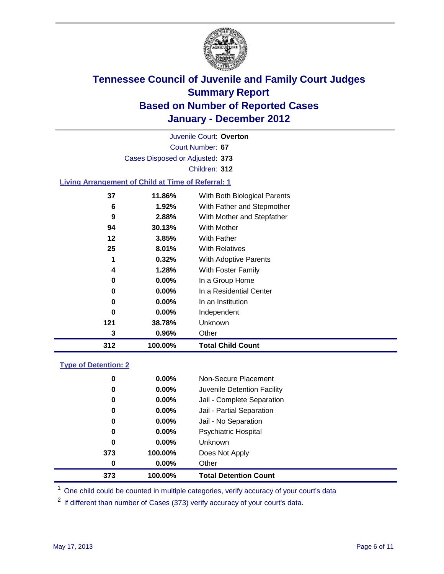

Court Number: **67** Juvenile Court: **Overton** Cases Disposed or Adjusted: **373** Children: **312 Living Arrangement of Child at Time of Referral: 1 11.86%** With Both Biological Parents

| 312 | 100.00%  | <b>Total Child Count</b>   |
|-----|----------|----------------------------|
| 3   | 0.96%    | Other                      |
| 121 | 38.78%   | Unknown                    |
| 0   | 0.00%    | Independent                |
| 0   | $0.00\%$ | In an Institution          |
| 0   | $0.00\%$ | In a Residential Center    |
| 0   | $0.00\%$ | In a Group Home            |
| 4   | 1.28%    | With Foster Family         |
| 1   | 0.32%    | With Adoptive Parents      |
| 25  | 8.01%    | <b>With Relatives</b>      |
| 12  | 3.85%    | <b>With Father</b>         |
| 94  | 30.13%   | With Mother                |
| 9   | 2.88%    | With Mother and Stepfather |
| 6   | 1.92%    | With Father and Stepmother |
|     |          |                            |

### **Type of Detention: 2**

| 373 | 100.00%  | <b>Total Detention Count</b> |
|-----|----------|------------------------------|
| 0   | $0.00\%$ | Other                        |
| 373 | 100.00%  | Does Not Apply               |
| 0   | $0.00\%$ | <b>Unknown</b>               |
| 0   | $0.00\%$ | Psychiatric Hospital         |
| 0   | 0.00%    | Jail - No Separation         |
| 0   | $0.00\%$ | Jail - Partial Separation    |
| 0   | $0.00\%$ | Jail - Complete Separation   |
| 0   | 0.00%    | Juvenile Detention Facility  |
| 0   | $0.00\%$ | Non-Secure Placement         |
|     |          |                              |

<sup>1</sup> One child could be counted in multiple categories, verify accuracy of your court's data

<sup>2</sup> If different than number of Cases (373) verify accuracy of your court's data.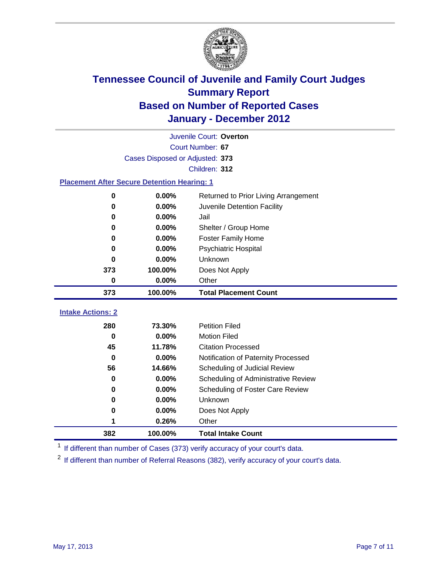

| Juvenile Court: Overton                            |                                 |                                              |  |  |  |  |
|----------------------------------------------------|---------------------------------|----------------------------------------------|--|--|--|--|
|                                                    | Court Number: 67                |                                              |  |  |  |  |
|                                                    | Cases Disposed or Adjusted: 373 |                                              |  |  |  |  |
|                                                    | Children: 312                   |                                              |  |  |  |  |
| <b>Placement After Secure Detention Hearing: 1</b> |                                 |                                              |  |  |  |  |
| $\mathbf 0$                                        | 0.00%                           | Returned to Prior Living Arrangement         |  |  |  |  |
| 0                                                  | 0.00%                           | Juvenile Detention Facility                  |  |  |  |  |
| 0                                                  | 0.00%                           | Jail                                         |  |  |  |  |
| 0                                                  | 0.00%                           | Shelter / Group Home                         |  |  |  |  |
| 0                                                  | 0.00%                           | <b>Foster Family Home</b>                    |  |  |  |  |
| 0                                                  | 0.00%                           | Psychiatric Hospital                         |  |  |  |  |
| 0                                                  | 0.00%                           | Unknown                                      |  |  |  |  |
| 373                                                | 100.00%                         | Does Not Apply                               |  |  |  |  |
| 0                                                  | 0.00%                           | Other                                        |  |  |  |  |
|                                                    |                                 |                                              |  |  |  |  |
| 373                                                | 100.00%                         | <b>Total Placement Count</b>                 |  |  |  |  |
|                                                    |                                 |                                              |  |  |  |  |
| <b>Intake Actions: 2</b>                           |                                 |                                              |  |  |  |  |
| 280<br>$\bf{0}$                                    | 73.30%<br>0.00%                 | <b>Petition Filed</b><br><b>Motion Filed</b> |  |  |  |  |
| 45                                                 | 11.78%                          | <b>Citation Processed</b>                    |  |  |  |  |
| $\bf{0}$                                           | 0.00%                           | Notification of Paternity Processed          |  |  |  |  |
| 56                                                 | 14.66%                          | Scheduling of Judicial Review                |  |  |  |  |
| 0                                                  | 0.00%                           | Scheduling of Administrative Review          |  |  |  |  |
| 0                                                  | 0.00%                           | Scheduling of Foster Care Review             |  |  |  |  |
| $\bf{0}$                                           | 0.00%                           | Unknown                                      |  |  |  |  |
| 0                                                  | 0.00%                           | Does Not Apply                               |  |  |  |  |
| 1                                                  | 0.26%                           | Other                                        |  |  |  |  |

<sup>1</sup> If different than number of Cases (373) verify accuracy of your court's data.

<sup>2</sup> If different than number of Referral Reasons (382), verify accuracy of your court's data.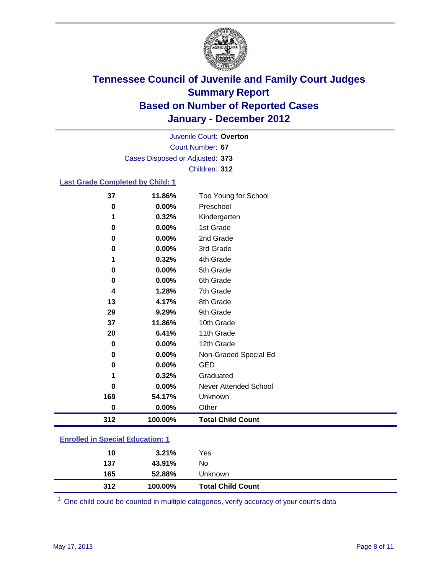

Court Number: **67** Juvenile Court: **Overton** Cases Disposed or Adjusted: **373** Children: **312**

#### **Last Grade Completed by Child: 1**

| 37                                      | 11.86%        | Too Young for School         |  |  |
|-----------------------------------------|---------------|------------------------------|--|--|
| 0                                       | 0.00%         | Preschool                    |  |  |
| 1                                       | 0.32%         | Kindergarten                 |  |  |
| 0                                       | 0.00%         | 1st Grade                    |  |  |
| 0                                       | 0.00%         | 2nd Grade                    |  |  |
| 0                                       | 0.00%         | 3rd Grade                    |  |  |
| 1                                       | 0.32%         | 4th Grade                    |  |  |
| 0                                       | 0.00%         | 5th Grade                    |  |  |
| 0                                       | 0.00%         | 6th Grade                    |  |  |
| 4                                       | 1.28%         | 7th Grade                    |  |  |
| 13                                      | 4.17%         | 8th Grade                    |  |  |
| 29                                      | 9.29%         | 9th Grade                    |  |  |
| 37                                      | 11.86%        | 10th Grade                   |  |  |
| 20                                      | 6.41%         | 11th Grade                   |  |  |
| 0                                       | 0.00%         | 12th Grade                   |  |  |
| 0                                       | 0.00%         | Non-Graded Special Ed        |  |  |
| 0                                       | 0.00%         | <b>GED</b>                   |  |  |
| 1                                       | 0.32%         | Graduated                    |  |  |
| 0                                       | 0.00%         | <b>Never Attended School</b> |  |  |
| 169                                     | 54.17%        | Unknown                      |  |  |
| 0                                       | 0.00%         | Other                        |  |  |
| 312                                     | 100.00%       | <b>Total Child Count</b>     |  |  |
| <b>Enrolled in Special Education: 1</b> |               |                              |  |  |
| 1 M                                     | <b>2.240/</b> | $\mathcal{L}_{\mathbf{A}}$   |  |  |

| 10  | 3.21%   | Yes                      |
|-----|---------|--------------------------|
| 137 | 43.91%  | No                       |
| 165 | 52.88%  | Unknown                  |
| 312 | 100.00% | <b>Total Child Count</b> |

One child could be counted in multiple categories, verify accuracy of your court's data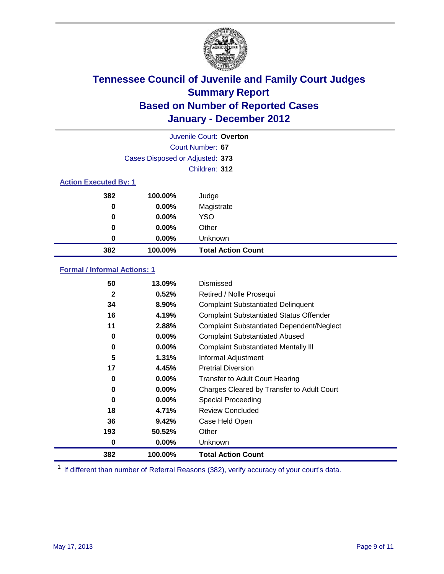

| Juvenile Court: Overton      |                                 |                           |  |  |  |
|------------------------------|---------------------------------|---------------------------|--|--|--|
|                              | Court Number: 67                |                           |  |  |  |
|                              | Cases Disposed or Adjusted: 373 |                           |  |  |  |
|                              | Children: 312                   |                           |  |  |  |
| <b>Action Executed By: 1</b> |                                 |                           |  |  |  |
| 382                          | 100.00%                         | Judge                     |  |  |  |
| $\bf{0}$                     | $0.00\%$                        | Magistrate                |  |  |  |
| $\bf{0}$                     | 0.00%                           | <b>YSO</b>                |  |  |  |
| 0                            | $0.00\%$                        | Other                     |  |  |  |
| 0                            | 0.00%                           | Unknown                   |  |  |  |
| 382                          | 100.00%                         | <b>Total Action Count</b> |  |  |  |

### **Formal / Informal Actions: 1**

| 382 | 100.00%               | <b>Total Action Count</b>                        |
|-----|-----------------------|--------------------------------------------------|
|     | $0.00\%$<br>0         | <b>Unknown</b>                                   |
| 193 | 50.52%                | Other                                            |
|     | 36<br>9.42%           | Case Held Open                                   |
|     | 18<br>4.71%           | <b>Review Concluded</b>                          |
|     | $0.00\%$<br>0         | <b>Special Proceeding</b>                        |
|     | $0.00\%$<br>0         | Charges Cleared by Transfer to Adult Court       |
|     | $0.00\%$<br>0         | <b>Transfer to Adult Court Hearing</b>           |
|     | 17<br>4.45%           | <b>Pretrial Diversion</b>                        |
|     | 5<br>1.31%            | Informal Adjustment                              |
|     | $0.00\%$<br>0         | <b>Complaint Substantiated Mentally III</b>      |
|     | $0.00\%$<br>0         | <b>Complaint Substantiated Abused</b>            |
|     | 11<br>2.88%           | <b>Complaint Substantiated Dependent/Neglect</b> |
|     | 16<br>4.19%           | <b>Complaint Substantiated Status Offender</b>   |
|     | 34<br>8.90%           | <b>Complaint Substantiated Delinquent</b>        |
|     | $\mathbf{2}$<br>0.52% | Retired / Nolle Prosequi                         |
|     | 50<br>13.09%          | Dismissed                                        |

<sup>1</sup> If different than number of Referral Reasons (382), verify accuracy of your court's data.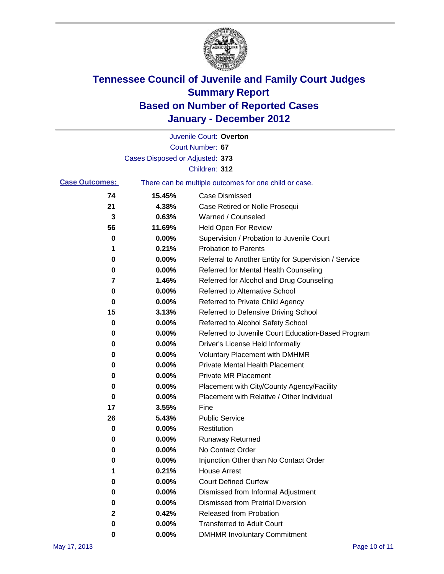

|                       |                                 | Juvenile Court: Overton                               |
|-----------------------|---------------------------------|-------------------------------------------------------|
|                       |                                 | Court Number: 67                                      |
|                       | Cases Disposed or Adjusted: 373 |                                                       |
|                       |                                 | Children: 312                                         |
| <b>Case Outcomes:</b> |                                 | There can be multiple outcomes for one child or case. |
| 74                    | 15.45%                          | <b>Case Dismissed</b>                                 |
| 21                    | 4.38%                           | Case Retired or Nolle Prosequi                        |
| 3                     | 0.63%                           | Warned / Counseled                                    |
| 56                    | 11.69%                          | Held Open For Review                                  |
| 0                     | 0.00%                           | Supervision / Probation to Juvenile Court             |
| 1                     | 0.21%                           | <b>Probation to Parents</b>                           |
| 0                     | 0.00%                           | Referral to Another Entity for Supervision / Service  |
| 0                     | 0.00%                           | Referred for Mental Health Counseling                 |
| 7                     | 1.46%                           | Referred for Alcohol and Drug Counseling              |
| 0                     | 0.00%                           | Referred to Alternative School                        |
| 0                     | 0.00%                           | Referred to Private Child Agency                      |
| 15                    | 3.13%                           | Referred to Defensive Driving School                  |
| 0                     | 0.00%                           | Referred to Alcohol Safety School                     |
| 0                     | 0.00%                           | Referred to Juvenile Court Education-Based Program    |
| 0                     | 0.00%                           | Driver's License Held Informally                      |
| 0                     | 0.00%                           | <b>Voluntary Placement with DMHMR</b>                 |
| 0                     | 0.00%                           | <b>Private Mental Health Placement</b>                |
| 0                     | 0.00%                           | <b>Private MR Placement</b>                           |
| 0                     | 0.00%                           | Placement with City/County Agency/Facility            |
| 0                     | 0.00%                           | Placement with Relative / Other Individual            |
| 17                    | 3.55%                           | Fine                                                  |
| 26                    | 5.43%                           | <b>Public Service</b>                                 |
| 0                     | 0.00%                           | Restitution                                           |
| 0                     | 0.00%                           | <b>Runaway Returned</b>                               |
| 0                     | 0.00%                           | No Contact Order                                      |
| 0                     | 0.00%                           | Injunction Other than No Contact Order                |
|                       | 0.21%                           | <b>House Arrest</b>                                   |
| 0                     | 0.00%                           | <b>Court Defined Curfew</b>                           |
| 0                     | 0.00%                           | Dismissed from Informal Adjustment                    |
| 0                     | $0.00\%$                        | <b>Dismissed from Pretrial Diversion</b>              |
| 2                     | 0.42%                           | Released from Probation                               |
| 0                     | $0.00\%$                        | <b>Transferred to Adult Court</b>                     |
| 0                     | 0.00%                           | <b>DMHMR Involuntary Commitment</b>                   |